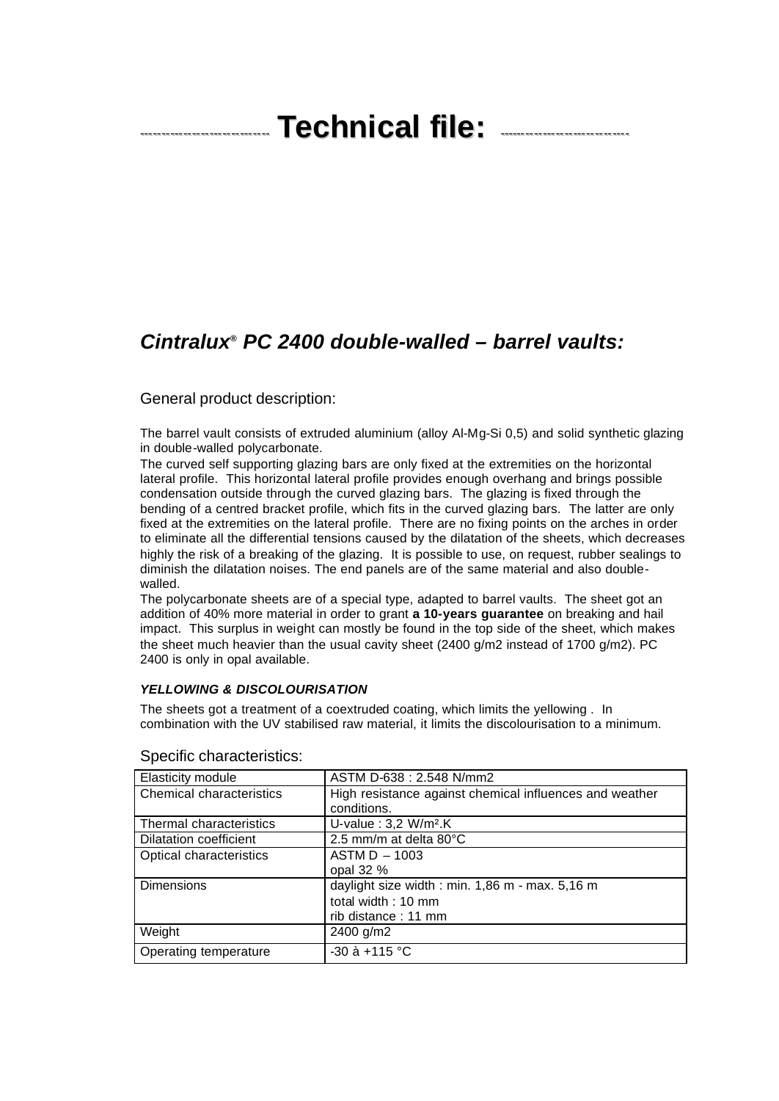# ------------------------------ **Technical file:** ------------------------------

# *Cintralux® PC 2400 double-walled – barrel vaults:*

### General product description:

The barrel vault consists of extruded aluminium (alloy Al-Mg-Si 0,5) and solid synthetic glazing in double-walled polycarbonate.

The curved self supporting glazing bars are only fixed at the extremities on the horizontal lateral profile. This horizontal lateral profile provides enough overhang and brings possible condensation outside through the curved glazing bars. The glazing is fixed through the bending of a centred bracket profile, which fits in the curved glazing bars. The latter are only fixed at the extremities on the lateral profile. There are no fixing points on the arches in order to eliminate all the differential tensions caused by the dilatation of the sheets, which decreases highly the risk of a breaking of the glazing. It is possible to use, on request, rubber sealings to diminish the dilatation noises. The end panels are of the same material and also doublewalled.

The polycarbonate sheets are of a special type, adapted to barrel vaults. The sheet got an addition of 40% more material in order to grant **a 10-years guarantee** on breaking and hail impact. This surplus in weight can mostly be found in the top side of the sheet, which makes the sheet much heavier than the usual cavity sheet (2400 g/m2 instead of 1700 g/m2). PC 2400 is only in opal available.

#### *YELLOWING & DISCOLOURISATION*

The sheets got a treatment of a coextruded coating, which limits the yellowing . In combination with the UV stabilised raw material, it limits the discolourisation to a minimum.

| Elasticity module        | ASTM D-638: 2.548 N/mm2                                 |
|--------------------------|---------------------------------------------------------|
| Chemical characteristics | High resistance against chemical influences and weather |
|                          | conditions.                                             |
| Thermal characteristics  | U-value: 3,2 W/m <sup>2</sup> .K                        |
| Dilatation coefficient   | 2.5 mm/m at delta 80°C                                  |
| Optical characteristics  | $ASTM D - 1003$                                         |
|                          | opal $32%$                                              |
| <b>Dimensions</b>        | daylight size width : min. 1,86 m - max. 5,16 m         |
|                          | total width: 10 mm                                      |
|                          | rib distance: 11 mm                                     |
| Weight                   | 2400 g/m2                                               |
| Operating temperature    | $-30$ à $+115$ °C                                       |

#### Specific characteristics: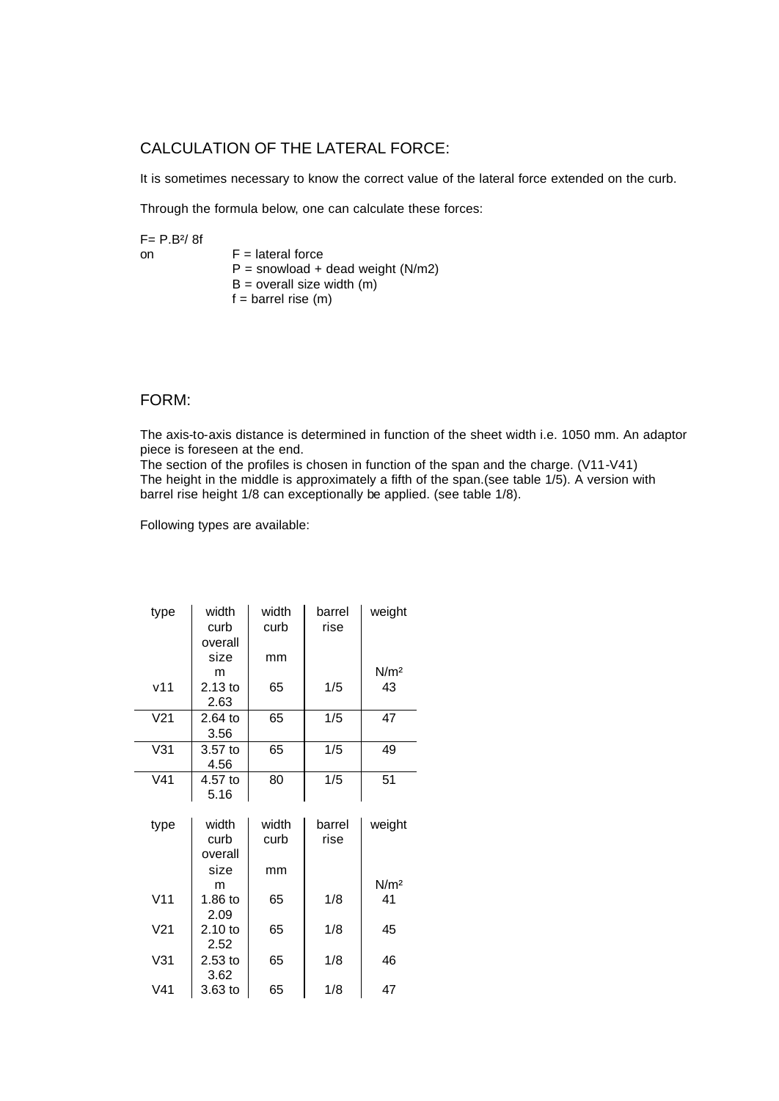# CALCULATION OF THE LATERAL FORCE:

It is sometimes necessary to know the correct value of the lateral force extended on the curb.

Through the formula below, one can calculate these forces:

 $F = P.B^2/8f$ on  $F =$  lateral force  $P =$  snowload + dead weight (N/m2)  $B =$  overall size width  $(m)$  $f = \text{barrel rise (m)}$ 

# FORM:

The axis-to-axis distance is determined in function of the sheet width i.e. 1050 mm. An adaptor piece is foreseen at the end.

The section of the profiles is chosen in function of the span and the charge. (V11-V41) The height in the middle is approximately a fifth of the span.(see table  $1/5$ ). A version with barrel rise height 1/8 can exceptionally be applied. (see table 1/8).

Following types are available:

| weight           |
|------------------|
|                  |
|                  |
| N/m <sup>2</sup> |
| 43               |
|                  |
| 47               |
|                  |
| 49               |
|                  |
| 51               |
|                  |
|                  |
| weight           |
|                  |
|                  |
|                  |
|                  |
| N/m <sup>2</sup> |
| 41               |
|                  |
| 45               |
|                  |
| 46               |
|                  |